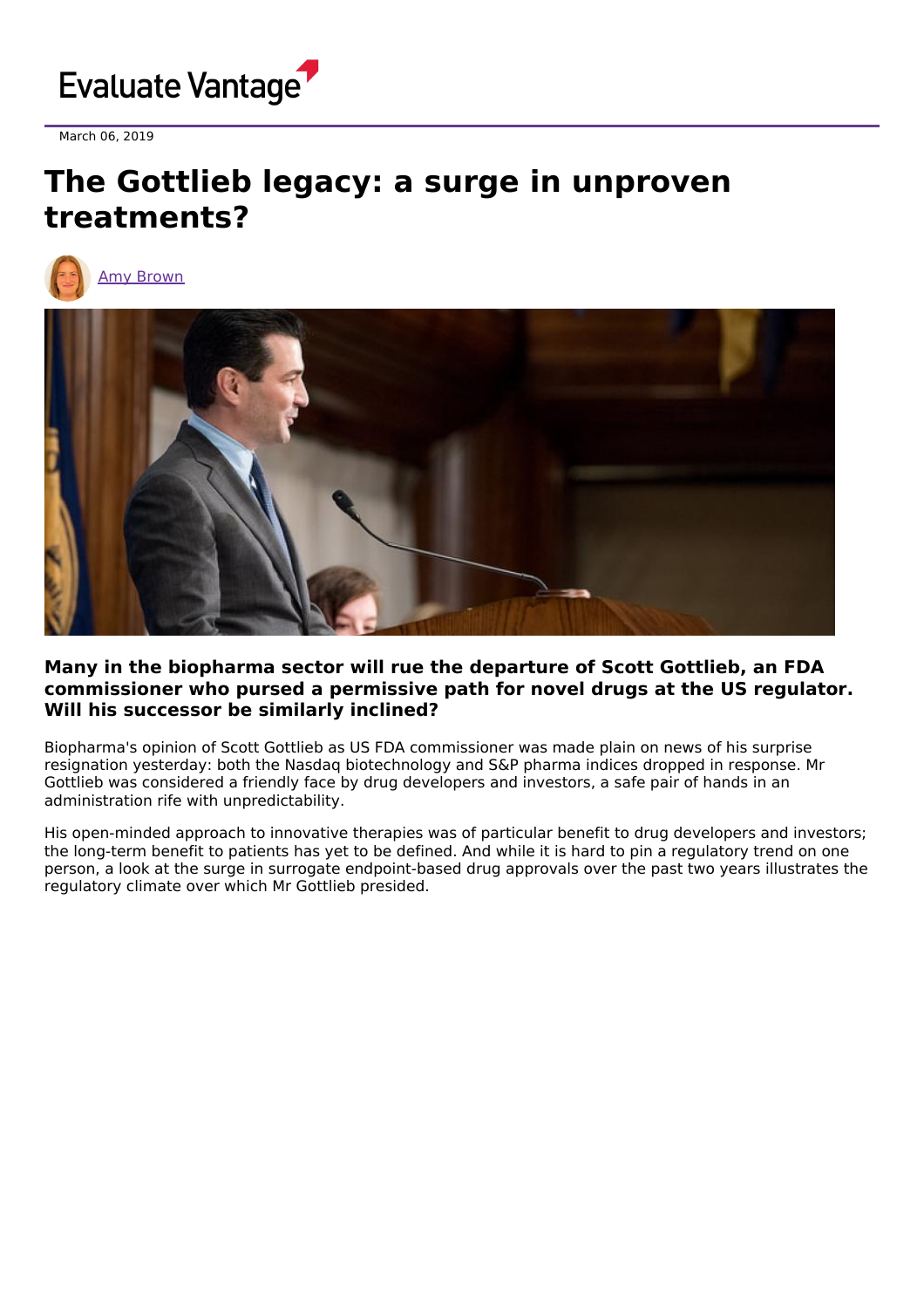

March 06, 2019

## **The Gottlieb legacy: a surge in unproven treatments?**





## **Many in the biopharma sector will rue the departure of Scott Gottlieb, an FDA commissioner who pursed a permissive path for novel drugs at the US regulator. Will his successor be similarly inclined?**

Biopharma's opinion of Scott Gottlieb as US FDA commissioner was made plain on news of his surprise resignation yesterday: both the Nasdaq biotechnology and S&P pharma indices dropped in response. Mr Gottlieb was considered a friendly face by drug developers and investors, a safe pair of hands in an administration rife with unpredictability.

His open-minded approach to innovative therapies was of particular benefit to drug developers and investors; the long-term benefit to patients has yet to be defined. And while it is hard to pin a regulatory trend on one person, a look at the surge in surrogate endpoint-based drug approvals over the past two years illustrates the regulatory climate over which Mr Gottlieb presided.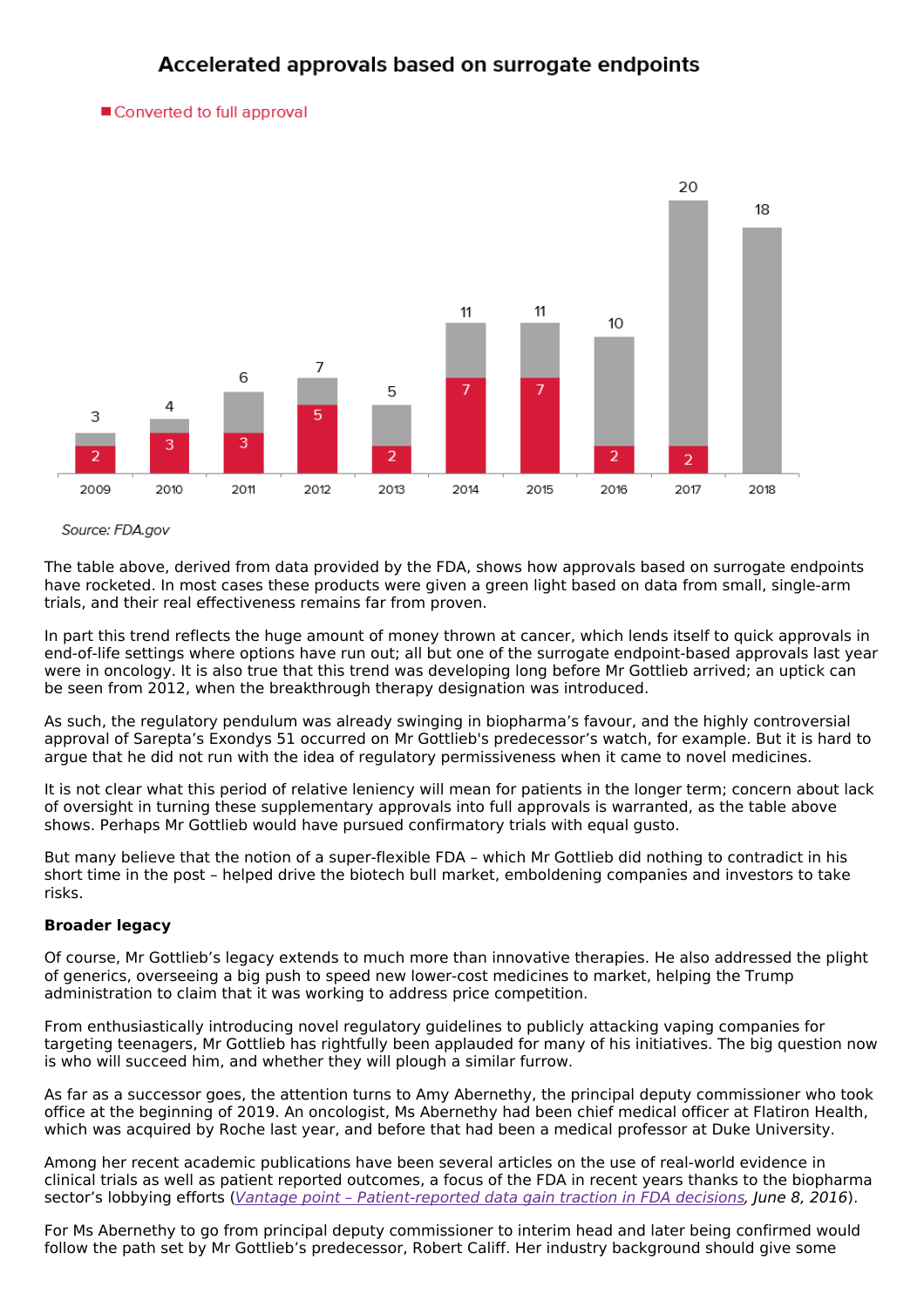## Accelerated approvals based on surrogate endpoints

■ Converted to full approval



Source: FDA.gov

The table above, derived from data provided by the FDA, shows how approvals based on surrogate endpoints have rocketed. In most cases these products were given a green light based on data from small, single-arm trials, and their real effectiveness remains far from proven.

In part this trend reflects the huge amount of money thrown at cancer, which lends itself to quick approvals in end-of-life settings where options have run out; all but one of the surrogate endpoint-based approvals last year were in oncology. It is also true that this trend was developing long before Mr Gottlieb arrived; an uptick can be seen from 2012, when the breakthrough therapy designation was introduced.

As such, the regulatory pendulum was already swinging in biopharma's favour, and the highly controversial approval of Sarepta's Exondys 51 occurred on Mr Gottlieb's predecessor's watch, for example. But it is hard to argue that he did not run with the idea of regulatory permissiveness when it came to novel medicines.

It is not clear what this period of relative leniency will mean for patients in the longer term; concern about lack of oversight in turning these supplementary approvals into full approvals is warranted, as the table above shows. Perhaps Mr Gottlieb would have pursued confirmatory trials with equal gusto.

But many believe that the notion of a super-flexible FDA – which Mr Gottlieb did nothing to contradict in his short time in the post – helped drive the biotech bull market, emboldening companies and investors to take risks.

## **Broader legacy**

Of course, Mr Gottlieb's legacy extends to much more than innovative therapies. He also addressed the plight of generics, overseeing a big push to speed new lower-cost medicines to market, helping the Trump administration to claim that it was working to address price competition.

From enthusiastically introducing novel regulatory guidelines to publicly attacking vaping companies for targeting teenagers, Mr Gottlieb has rightfully been applauded for many of his initiatives. The big question now is who will succeed him, and whether they will plough a similar furrow.

As far as a successor goes, the attention turns to Amy Abernethy, the principal deputy commissioner who took office at the beginning of 2019. An oncologist, Ms Abernethy had been chief medical officer at Flatiron Health, which was acquired by Roche last year, and before that had been a medical professor at Duke University.

Among her recent academic publications have been several articles on the use of real-world evidence in clinical trials as well as patient reported outcomes, a focus of the FDA in recent years thanks to the biopharma sector's lobbying efforts (Vantage point - [Patient-reported](https://www.evaluate.com/vantage/articles/analysis/vantage-point-patient-reported-data-gain-traction-fda-decisions) data gain traction in FDA decisions, June 8, 2016).

For Ms Abernethy to go from principal deputy commissioner to interim head and later being confirmed would follow the path set by Mr Gottlieb's predecessor, Robert Califf. Her industry background should give some